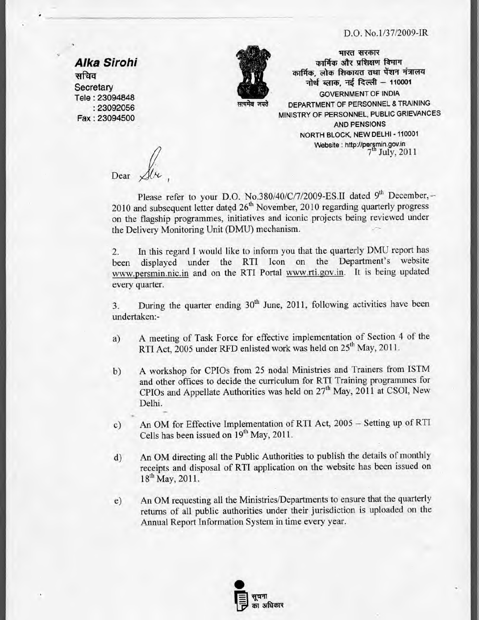## D.O. No.1/37/2009-IR

**Alka Sirohi**  सचिव **Secretary** Tele : 23094848 : 23092056 Fax : 23094500



सत्यमेव जय**ते** 

*भारत सरकार* **कार्मिक और प्रशिक्षण विभाग** कार्मिक, लोक शिकायत तथा पेंशन मंत्रालय नोर्थ ब्लाक, नई दिल्ली - 110001 **GOVERNMENT OF INDIA DEPARTMENT OF PERSONNEL & TRAINING MINISTRY OF PERSONNEL, PUBLIC GRIEVANCES AND PENSIONS NORTH BLOCK, NEW DELHI - 110001 Website :** http://per§min.gov.in  $7<sup>th</sup>$  July, 2011

Dear

Please refer to your D.O. No.380/40/C/7/2009-ES.II dated 9<sup>th</sup> December, -- $2010$  and subsequent letter dated  $26<sup>th</sup>$  November, 2010 regarding quarterly progress on the flagship programmes, initiatives and iconic projects being reviewed under the Delivery Monitoring Unit (DMU) mechanism.

2. In this regard I would like to inform you that the quarterly DMU report has been displayed under the RTI Icon on the Department's website www.persmin.nic.in and on the RTI Portal www.rti.gov.in. It is being updated every quarter.

3. During the quarter ending  $30<sup>th</sup>$  June, 2011, following activities have been undertaken:-

- a) A meeting of Task Force for effective implementation of Section 4 of the RTI Act, 2005 under RFD enlisted work was held on 25<sup>th</sup> May, 2011.
- b) A workshop for CPIOs from 25 nodal Ministries and Trainers from ISTM and other offices to decide the curriculum for RTI Training programmes for CPIOs and Appellate Authorities was held on  $27<sup>th</sup>$  May, 2011 at CSOI, New Delhi.
- c) An OM for Effective Implementation of RTI Act, 2005 Setting up of RTI Cells has been issued on  $19<sup>th</sup>$  May, 2011.
- d) An OM directing all the Public Authorities to publish the details of monthly receipts and disposal of RTI application on the website has been issued on  $18^{th}$  May, 2011.
- e) An OM requesting all the Ministries/Departments to ensure that the quarterly returns of all public authorities under their jurisdiction is uploaded on the Annual Report Information System in time every year.